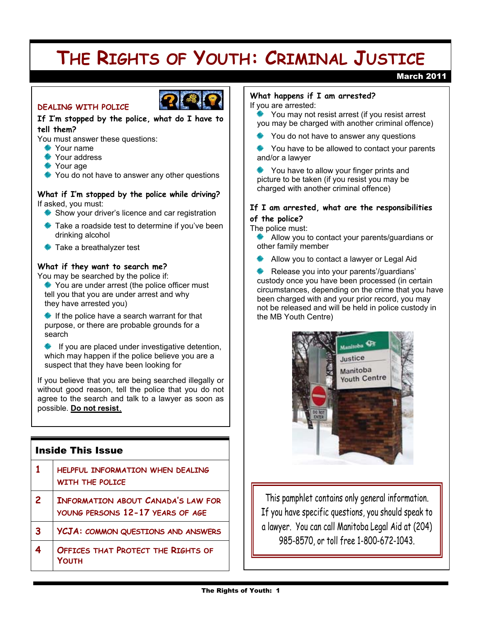# **THE RIGHTS OF YOUTH: CRIMINAL JUSTICE**

## March 2011



## **DEALING WITH POLICE**

## **If I:m stopped by the police, what do I have to tell them?**

You must answer these questions:

#### **Sour name**

- Your address
- Your age
- You do not have to answer any other questions

#### **What if I:m stopped by the police while driving?**  If asked, you must:

- Show your driver's licence and car registration
- Take a roadside test to determine if you've been drinking alcohol
- $\frac{*}{*}$  Take a breathalyzer test

## **What if they want to search me?**

You may be searched by the police if:

You are under arrest (the police officer must tell you that you are under arrest and why they have arrested you)

 $*$  If the police have a search warrant for that purpose, or there are probable grounds for a search

 If you are placed under investigative detention, which may happen if the police believe you are a suspect that they have been looking for

If you believe that you are being searched illegally or without good reason, tell the police that you do not agree to the search and talk to a lawyer as soon as possible. **Do not resist.**

## Inside This Issue

| $\mathbf{1}$            | HELPFUL INFORMATION WHEN DEALING<br><b>WITH THE POLICE</b>                    |
|-------------------------|-------------------------------------------------------------------------------|
| $\overline{2}$          | <b>INFORMATION ABOUT CANADA'S LAW FOR</b><br>YOUNG PERSONS 12-17 YEARS OF AGE |
| 3                       | YCJA: COMMON QUESTIONS AND ANSWERS                                            |
| $\overline{\mathbf{4}}$ | OFFICES THAT PROTECT THE RIGHTS OF<br>ΥΩΠΤΗ                                   |

#### **What happens if I am arrested?**

If you are arrested:

 You may not resist arrest (if you resist arrest you may be charged with another criminal offence)

- You do not have to answer any questions
- You have to be allowed to contact your parents and/or a lawyer
- You have to allow your finger prints and picture to be taken (if you resist you may be charged with another criminal offence)

## **If I am arrested, what are the responsibilities of the police?**

The police must:

 Allow you to contact your parents/guardians or other family member

Allow you to contact a lawyer or Legal Aid

 Release you into your parents'/guardians' custody once you have been processed (in certain circumstances, depending on the crime that you have been charged with and your prior record, you may not be released and will be held in police custody in the MB Youth Centre)



This pamphlet contains only general information. If you have specific questions, you should speak to a lawyer. You can call Manitoba Legal Aid at (204) 985-8570, or toll free 1-800-672-1043.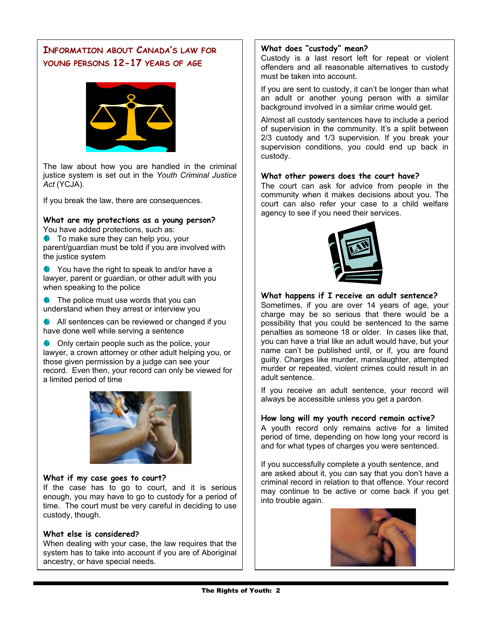# **INFORMATION ABOUT CANADA:S LAW FOR YOUNG PERSONS 12-17 YEARS OF AGE**



The law about how you are handled in the criminal justice system is set out in the *Youth Criminal Justice Act* (YCJA).

If you break the law, there are consequences.

# **What are my protections as a young person?**

You have added protections, such as: To make sure they can help you, your parent/guardian must be told if you are involved with

You have the right to speak to and/or have a lawyer, parent or guardian, or other adult with you when speaking to the police

 $\bullet$  The police must use words that you can understand when they arrest or interview you

the justice system

All sentences can be reviewed or changed if you have done well while serving a sentence

♦ Only certain people such as the police, your lawyer, a crown attorney or other adult helping you, or those given permission by a judge can see your record. Even then, your record can only be viewed for a limited period of time



#### **What if my case goes to court?**

If the case has to go to court, and it is serious enough, you may have to go to custody for a period of time. The court must be very careful in deciding to use custody, though.

#### **What else is considered?**

When dealing with your case, the law requires that the system has to take into account if you are of Aboriginal ancestry, or have special needs.

#### What does "custody" mean?

Custody is a last resort left for repeat or violent offenders and all reasonable alternatives to custody must be taken into account.

If you are sent to custody, it can't be longer than what an adult or another young person with a similar background involved in a similar crime would get.

Almost all custody sentences have to include a period of supervision in the community. It's a split between 2/3 custody and 1/3 supervision. If you break your supervision conditions, you could end up back in custody.

#### **What other powers does the court have?**

The court can ask for advice from people in the community when it makes decisions about you. The court can also refer your case to a child welfare agency to see if you need their services.



#### **What happens if I receive an adult sentence?**

Sometimes, if you are over 14 years of age, your charge may be so serious that there would be a possibility that you could be sentenced to the same penalties as someone 18 or older. In cases like that, you can have a trial like an adult would have, but your name can't be published until, or if, you are found guilty. Charges like murder, manslaughter, attempted murder or repeated, violent crimes could result in an adult sentence.

If you receive an adult sentence, your record will always be accessible unless you get a pardon.

#### **How long will my youth record remain active?**

A youth record only remains active for a limited period of time, depending on how long your record is and for what types of charges you were sentenced.

If you successfully complete a youth sentence, and are asked about it, you can say that you don't have a criminal record in relation to that offence. Your record may continue to be active or come back if you get into trouble again.

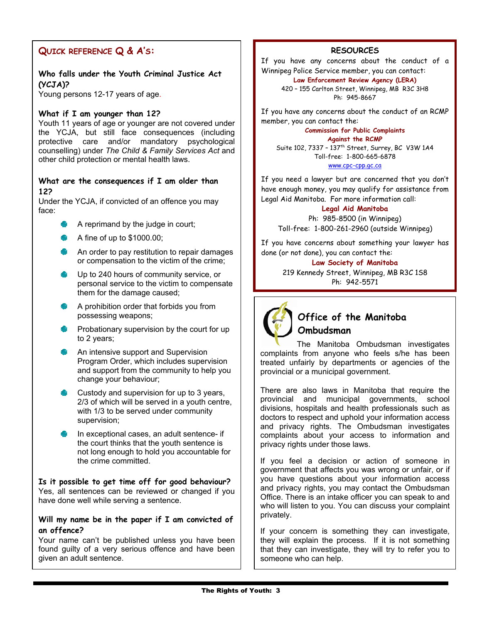# **QUICK REFERENCE Q & A:S:**

## **Who falls under the Youth Criminal Justice Act (YCJA)?**

Young persons 12-17 years of age.

#### **What if I am younger than 12?**

Youth 11 years of age or younger are not covered under the YCJA, but still face consequences (including protective care and/or mandatory psychological counselling) under *The Child & Family Services Act* and other child protection or mental health laws.

#### **What are the consequences if I am older than 12?**

Under the YCJA, if convicted of an offence you may face:

- $\triangleq$  A reprimand by the judge in court;
- $\blacktriangleright$  A fine of up to \$1000.00;
- An order to pay restitution to repair damages or compensation to the victim of the crime;
- Up to 240 hours of community service, or personal service to the victim to compensate them for the damage caused;
- A prohibition order that forbids you from possessing weapons;
- $\bullet$  Probationary supervision by the court for up to 2 years;
- An intensive support and Supervision Program Order, which includes supervision and support from the community to help you change your behaviour;
- Custody and supervision for up to 3 years, 2/3 of which will be served in a youth centre, with 1/3 to be served under community supervision;
- In exceptional cases, an adult sentence- if the court thinks that the youth sentence is not long enough to hold you accountable for the crime committed.

**Is it possible to get time off for good behaviour?**  Yes, all sentences can be reviewed or changed if you have done well while serving a sentence.

#### **Will my name be in the paper if I am convicted of an offence?**

Your name can't be published unless you have been found guilty of a very serious offence and have been given an adult sentence.

#### **RESOURCES**

If you have any concerns about the conduct of a Winnipeg Police Service member, you can contact:

# **Law Enforcement Review Agency (LERA)**

420 - 155 Carlton Street, Winnipeg, MB R3C 3H8 Ph: 945-8667

If you have any concerns about the conduct of an RCMP member, you can contact the:

#### **Commission for Public Complaints Against the RCMP**

Suite 102, 7337 - 137<sup>th</sup> Street, Surrey, BC V3W 1A4 Toll-free: 1-800-665-6878 www.cpc-cpp.gc.ca

If you need a lawyer but are concerned that you don't have enough money, you may qualify for assistance from Legal Aid Manitoba. For more information call:

## **Legal Aid Manitoba**

Ph: 985-8500 (in Winnipeg) Toll-free: 1-800-261-2960 (outside Winnipeg)

If you have concerns about something your lawyer has done (or not done), you can contact the:

#### **Law Society of Manitoba**

219 Kennedy Street, Winnipeg, MB R3C 1S8 Ph: 942-5571



# **Office of the Manitoba Ombudsman**

The Manitoba Ombudsman investigates complaints from anyone who feels s/he has been treated unfairly by departments or agencies of the provincial or a municipal government.

There are also laws in Manitoba that require the provincial and municipal governments, school divisions, hospitals and health professionals such as doctors to respect and uphold your information access and privacy rights. The Ombudsman investigates complaints about your access to information and privacy rights under those laws.

If you feel a decision or action of someone in government that affects you was wrong or unfair, or if you have questions about your information access and privacy rights, you may contact the Ombudsman Office. There is an intake officer you can speak to and who will listen to you. You can discuss your complaint privately.

If your concern is something they can investigate, they will explain the process. If it is not something that they can investigate, they will try to refer you to someone who can help.